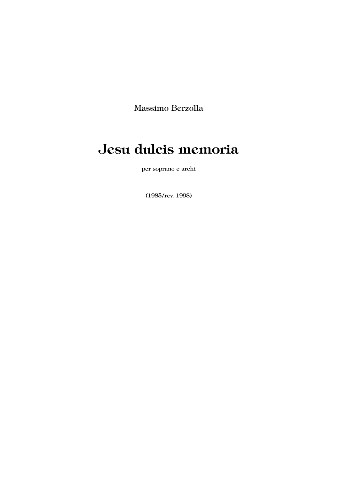Massimo Berzolla

# **Jesu dulcis memoria**

per soprano e archi

(1985/rev. 1998)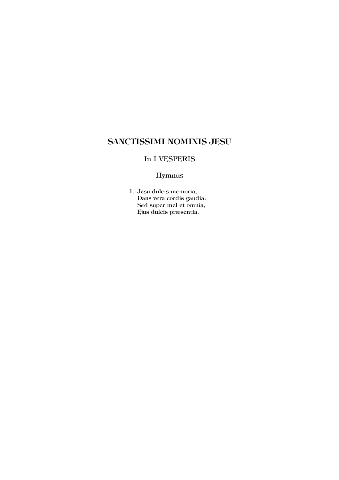## **SANCTISSIMI NOMINIS JESU**

#### In I VESPERIS

### Hymnus

1. Jesu dulcis memoria, Dans vera cordis gaudia: Sed super mel et omnia, Ejus dulcis præsentia.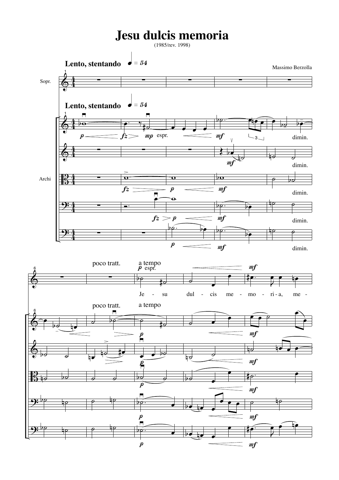## **Jesu dulcis memoria**

(1985/rev. 1998)

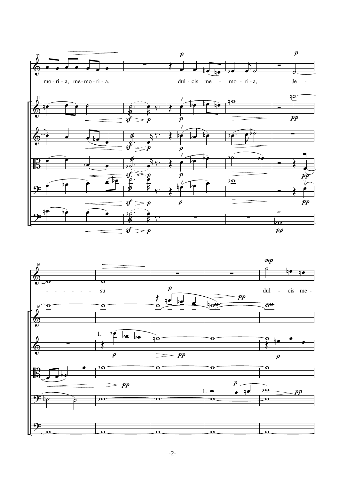

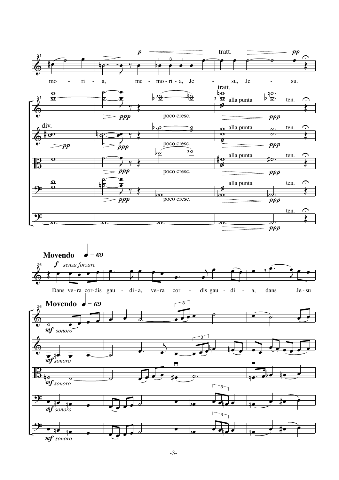

-3-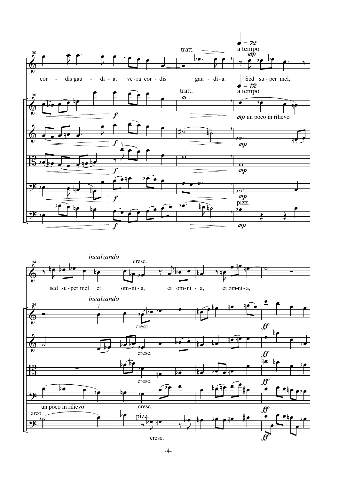